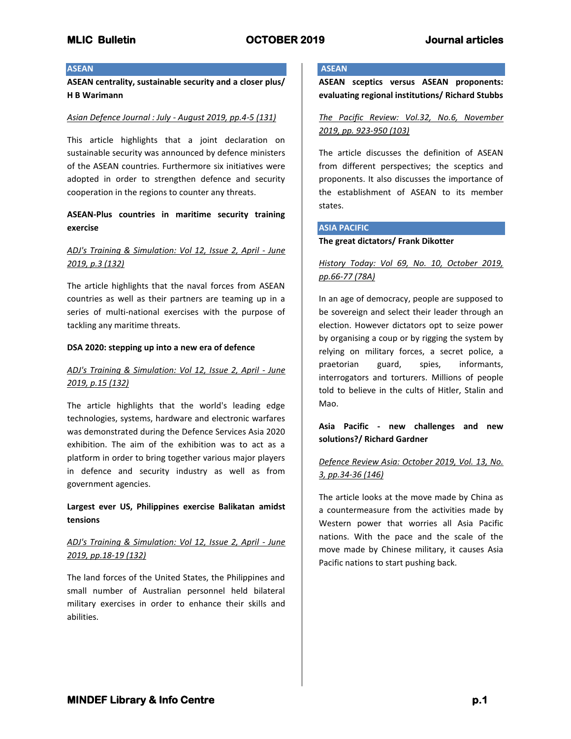### **ASEAN**

**ASEAN centrality, sustainable security and a closer plus/ H B Warimann**

## *Asian Defence Journal : July - August 2019, pp.4-5 (131)*

This article highlights that a joint declaration on sustainable security was announced by defence ministers of the ASEAN countries. Furthermore six initiatives were adopted in order to strengthen defence and security cooperation in the regions to counter any threats.

# **ASEAN-Plus countries in maritime security training exercise**

# *ADJ's Training & Simulation: Vol 12, Issue 2, April - June 2019, p.3 (132)*

The article highlights that the naval forces from ASEAN countries as well as their partners are teaming up in a series of multi-national exercises with the purpose of tackling any maritime threats.

### **DSA 2020: stepping up into a new era of defence**

## *ADJ's Training & Simulation: Vol 12, Issue 2, April - June 2019, p.15 (132)*

The article highlights that the world's leading edge technologies, systems, hardware and electronic warfares was demonstrated during the Defence Services Asia 2020 exhibition. The aim of the exhibition was to act as a platform in order to bring together various major players in defence and security industry as well as from government agencies.

**Largest ever US, Philippines exercise Balikatan amidst tensions**

# *ADJ's Training & Simulation: Vol 12, Issue 2, April - June 2019, pp.18-19 (132)*

The land forces of the United States, the Philippines and small number of Australian personnel held bilateral military exercises in order to enhance their skills and abilities.

## **ASEAN**

**ASEAN sceptics versus ASEAN proponents: evaluating regional institutions/ Richard Stubbs**

*The Pacific Review: Vol.32, No.6, November 2019, pp. 923-950 (103)*

The article discusses the definition of ASEAN from different perspectives; the sceptics and proponents. It also discusses the importance of the establishment of ASEAN to its member states.

### **ASIA PACIFIC**

### **The great dictators/ Frank Dikotter**

# *History Today: Vol 69, No. 10, October 2019, pp.66-77 (78A)*

In an age of democracy, people are supposed to be sovereign and select their leader through an election. However dictators opt to seize power by organising a coup or by rigging the system by relying on military forces, a secret police, a praetorian guard, spies, informants, interrogators and torturers. Millions of people told to believe in the cults of Hitler, Stalin and Mao.

## **Asia Pacific - new challenges and new solutions?/ Richard Gardner**

*Defence Review Asia: October 2019, Vol. 13, No. 3, pp.34-36 (146)*

The article looks at the move made by China as a countermeasure from the activities made by Western power that worries all Asia Pacific nations. With the pace and the scale of the move made by Chinese military, it causes Asia Pacific nations to start pushing back.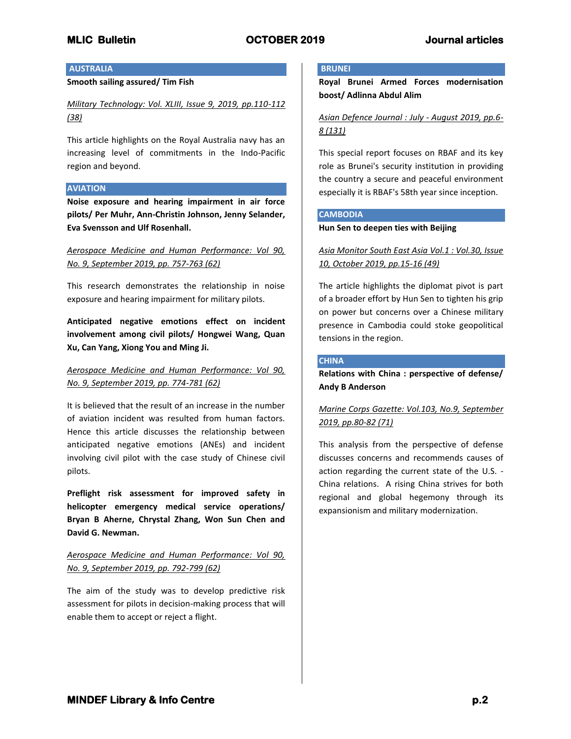## **AUSTRALIA**

## **Smooth sailing assured/ Tim Fish**

*Military Technology: Vol. XLIII, Issue 9, 2019, pp.110-112 (38)*

This article highlights on the Royal Australia navy has an increasing level of commitments in the Indo-Pacific region and beyond.

### **AVIATION**

**Noise exposure and hearing impairment in air force pilots/ Per Muhr, Ann-Christin Johnson, Jenny Selander, Eva Svensson and Ulf Rosenhall.**

# *Aerospace Medicine and Human Performance: Vol 90, No. 9, September 2019, pp. 757-763 (62)*

This research demonstrates the relationship in noise exposure and hearing impairment for military pilots.

**Anticipated negative emotions effect on incident involvement among civil pilots/ Hongwei Wang, Quan Xu, Can Yang, Xiong You and Ming Ji.**

# *Aerospace Medicine and Human Performance: Vol 90, No. 9, September 2019, pp. 774-781 (62)*

It is believed that the result of an increase in the number of aviation incident was resulted from human factors. Hence this article discusses the relationship between anticipated negative emotions (ANEs) and incident involving civil pilot with the case study of Chinese civil pilots.

**Preflight risk assessment for improved safety in helicopter emergency medical service operations/ Bryan B Aherne, Chrystal Zhang, Won Sun Chen and David G. Newman.**

## *Aerospace Medicine and Human Performance: Vol 90, No. 9, September 2019, pp. 792-799 (62)*

The aim of the study was to develop predictive risk assessment for pilots in decision-making process that will enable them to accept or reject a flight.

## **BRUNEI**

**Royal Brunei Armed Forces modernisation boost/ Adlinna Abdul Alim**

*Asian Defence Journal : July - August 2019, pp.6- 8 (131)*

This special report focuses on RBAF and its key role as Brunei's security institution in providing the country a secure and peaceful environment especially it is RBAF's 58th year since inception.

### **CAMBODIA**

**Hun Sen to deepen ties with Beijing**

*Asia Monitor South East Asia Vol.1 : Vol.30, Issue 10, October 2019, pp.15-16 (49)*

The article highlights the diplomat pivot is part of a broader effort by Hun Sen to tighten his grip on power but concerns over a Chinese military presence in Cambodia could stoke geopolitical tensions in the region.

## **CHINA**

**Relations with China : perspective of defense/ Andy B Anderson**

# *Marine Corps Gazette: Vol.103, No.9, September 2019, pp.80-82 (71)*

This analysis from the perspective of defense discusses concerns and recommends causes of action regarding the current state of the U.S. - China relations. A rising China strives for both regional and global hegemony through its expansionism and military modernization.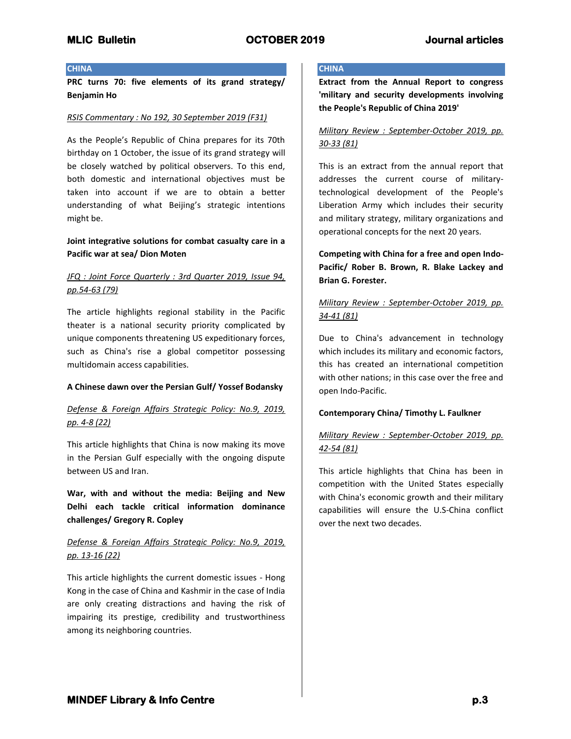### **CHINA**

**PRC turns 70: five elements of its grand strategy/ Benjamin Ho**

### *RSIS Commentary : No 192, 30 September 2019 (F31)*

As the People's Republic of China prepares for its 70th birthday on 1 October, the issue of its grand strategy will be closely watched by political observers. To this end, both domestic and international objectives must be taken into account if we are to obtain a better understanding of what Beijing's strategic intentions might be.

## **Joint integrative solutions for combat casualty care in a Pacific war at sea/ Dion Moten**

## *JFQ : Joint Force Quarterly : 3rd Quarter 2019, Issue 94, pp.54-63 (79)*

The article highlights regional stability in the Pacific theater is a national security priority complicated by unique components threatening US expeditionary forces, such as China's rise a global competitor possessing multidomain access capabilities.

### **A Chinese dawn over the Persian Gulf/ Yossef Bodansky**

# *Defense & Foreign Affairs Strategic Policy: No.9, 2019, pp. 4-8 (22)*

This article highlights that China is now making its move in the Persian Gulf especially with the ongoing dispute between US and Iran.

**War, with and without the media: Beijing and New Delhi each tackle critical information dominance challenges/ Gregory R. Copley**

## *Defense & Foreign Affairs Strategic Policy: No.9, 2019, pp. 13-16 (22)*

This article highlights the current domestic issues - Hong Kong in the case of China and Kashmir in the case of India are only creating distractions and having the risk of impairing its prestige, credibility and trustworthiness among its neighboring countries.

## **CHINA**

**Extract from the Annual Report to congress 'military and security developments involving the People's Republic of China 2019'**

## *Military Review : September-October 2019, pp. 30-33 (81)*

This is an extract from the annual report that addresses the current course of militarytechnological development of the People's Liberation Army which includes their security and military strategy, military organizations and operational concepts for the next 20 years.

**Competing with China for a free and open Indo-Pacific/ Rober B. Brown, R. Blake Lackey and Brian G. Forester.**

# *Military Review : September-October 2019, pp. 34-41 (81)*

Due to China's advancement in technology which includes its military and economic factors, this has created an international competition with other nations; in this case over the free and open Indo-Pacific.

### **Contemporary China/ Timothy L. Faulkner**

# *Military Review : September-October 2019, pp. 42-54 (81)*

This article highlights that China has been in competition with the United States especially with China's economic growth and their military capabilities will ensure the U.S-China conflict over the next two decades.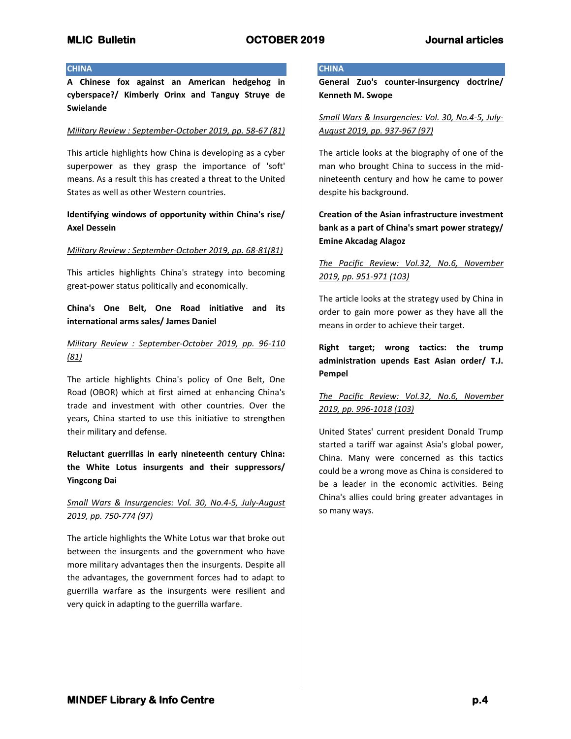### **CHINA**

**A Chinese fox against an American hedgehog in cyberspace?/ Kimberly Orinx and Tanguy Struye de Swielande**

### *Military Review : September-October 2019, pp. 58-67 (81)*

This article highlights how China is developing as a cyber superpower as they grasp the importance of 'soft' means. As a result this has created a threat to the United States as well as other Western countries.

# **Identifying windows of opportunity within China's rise/ Axel Dessein**

## *Military Review : September-October 2019, pp. 68-81(81)*

This articles highlights China's strategy into becoming great-power status politically and economically.

**China's One Belt, One Road initiative and its international arms sales/ James Daniel**

## *Military Review : September-October 2019, pp. 96-110 (81)*

The article highlights China's policy of One Belt, One Road (OBOR) which at first aimed at enhancing China's trade and investment with other countries. Over the years, China started to use this initiative to strengthen their military and defense.

# **Reluctant guerrillas in early nineteenth century China: the White Lotus insurgents and their suppressors/ Yingcong Dai**

# *Small Wars & Insurgencies: Vol. 30, No.4-5, July-August 2019, pp. 750-774 (97)*

The article highlights the White Lotus war that broke out between the insurgents and the government who have more military advantages then the insurgents. Despite all the advantages, the government forces had to adapt to guerrilla warfare as the insurgents were resilient and very quick in adapting to the guerrilla warfare.

## **CHINA**

**General Zuo's counter-insurgency doctrine/ Kenneth M. Swope** 

*Small Wars & Insurgencies: Vol. 30, No.4-5, July-August 2019, pp. 937-967 (97)*

The article looks at the biography of one of the man who brought China to success in the midnineteenth century and how he came to power despite his background.

# **Creation of the Asian infrastructure investment bank as a part of China's smart power strategy/ Emine Akcadag Alagoz**

# *The Pacific Review: Vol.32, No.6, November 2019, pp. 951-971 (103)*

The article looks at the strategy used by China in order to gain more power as they have all the means in order to achieve their target.

**Right target; wrong tactics: the trump administration upends East Asian order/ T.J. Pempel**

# *The Pacific Review: Vol.32, No.6, November 2019, pp. 996-1018 (103)*

United States' current president Donald Trump started a tariff war against Asia's global power, China. Many were concerned as this tactics could be a wrong move as China is considered to be a leader in the economic activities. Being China's allies could bring greater advantages in so many ways.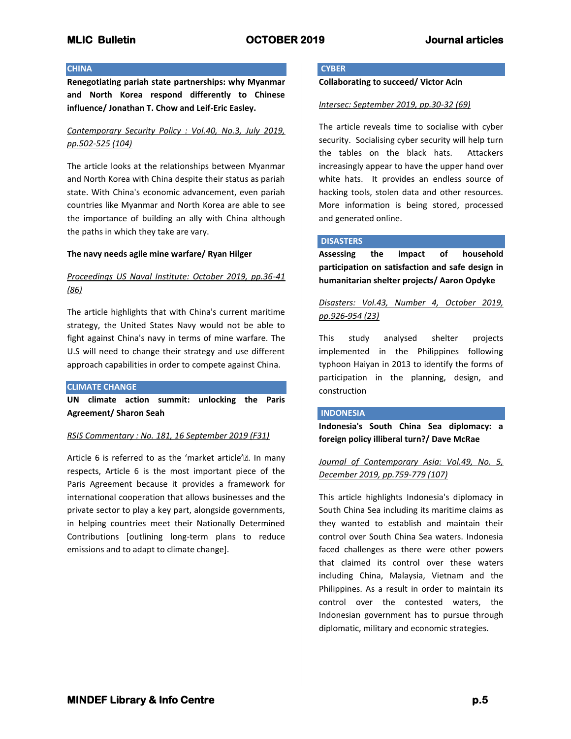## **CHINA**

**Renegotiating pariah state partnerships: why Myanmar and North Korea respond differently to Chinese influence/ Jonathan T. Chow and Leif-Eric Easley.**

# *Contemporary Security Policy : Vol.40, No.3, July 2019, pp.502-525 (104)*

The article looks at the relationships between Myanmar and North Korea with China despite their status as pariah state. With China's economic advancement, even pariah countries like Myanmar and North Korea are able to see the importance of building an ally with China although the paths in which they take are vary.

## **The navy needs agile mine warfare/ Ryan Hilger**

# *Proceedings US Naval Institute: October 2019, pp.36-41 (86)*

The article highlights that with China's current maritime strategy, the United States Navy would not be able to fight against China's navy in terms of mine warfare. The U.S will need to change their strategy and use different approach capabilities in order to compete against China.

### **CLIMATE CHANGE**

**UN climate action summit: unlocking the Paris Agreement/ Sharon Seah**

## *RSIS Commentary : No. 181, 16 September 2019 (F31)*

Article 6 is referred to as the 'market article'•. In many respects, Article 6 is the most important piece of the Paris Agreement because it provides a framework for international cooperation that allows businesses and the private sector to play a key part, alongside governments, in helping countries meet their Nationally Determined Contributions [outlining long-term plans to reduce emissions and to adapt to climate change].

### **CYBER**

**Collaborating to succeed/ Victor Acin**

## *Intersec: September 2019, pp.30-32 (69)*

The article reveals time to socialise with cyber security. Socialising cyber security will help turn the tables on the black hats. Attackers increasingly appear to have the upper hand over white hats. It provides an endless source of hacking tools, stolen data and other resources. More information is being stored, processed and generated online.

## **DISASTERS**

**Assessing the impact of household participation on satisfaction and safe design in humanitarian shelter projects/ Aaron Opdyke**

# *Disasters: Vol.43, Number 4, October 2019, pp.926-954 (23)*

This study analysed shelter projects implemented in the Philippines following typhoon Haiyan in 2013 to identify the forms of participation in the planning, design, and construction

### **INDONESIA**

**Indonesia's South China Sea diplomacy: a foreign policy illiberal turn?/ Dave McRae**

*Journal of Contemporary Asia: Vol.49, No. 5, December 2019, pp.759-779 (107)*

This article highlights Indonesia's diplomacy in South China Sea including its maritime claims as they wanted to establish and maintain their control over South China Sea waters. Indonesia faced challenges as there were other powers that claimed its control over these waters including China, Malaysia, Vietnam and the Philippines. As a result in order to maintain its control over the contested waters, the Indonesian government has to pursue through diplomatic, military and economic strategies.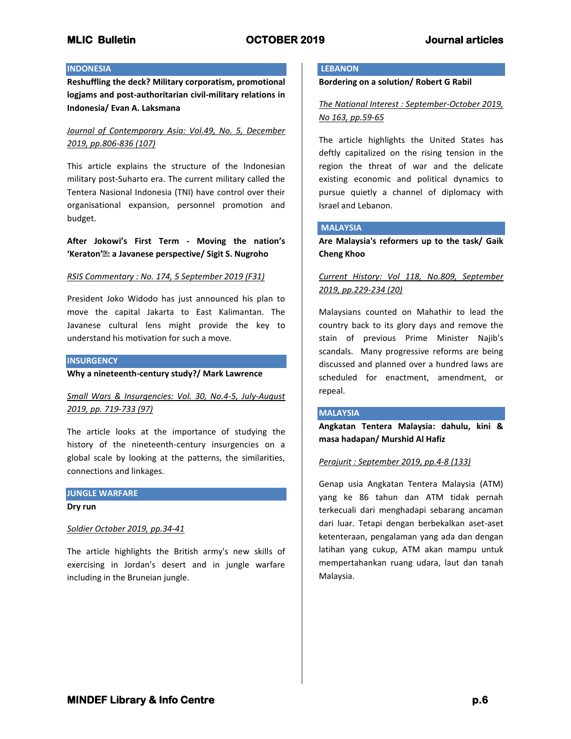## **INDONESIA**

**Reshuffling the deck? Military corporatism, promotional logjams and post-authoritarian civil-military relations in Indonesia/ Evan A. Laksmana**

# *Journal of Contemporary Asia: Vol.49, No. 5, December 2019, pp.806-836 (107)*

This article explains the structure of the Indonesian military post-Suharto era. The current military called the Tentera Nasional Indonesia (TNI) have control over their organisational expansion, personnel promotion and budget.

**After Jokowi's First Term - Moving the nation's 'Keraton'•: a Javanese perspective/ Sigit S. Nugroho**

### *RSIS Commentary : No. 174, 5 September 2019 (F31)*

President Joko Widodo has just announced his plan to move the capital Jakarta to East Kalimantan. The Javanese cultural lens might provide the key to understand his motivation for such a move.

## **INSURGENCY**

**Why a nineteenth-century study?/ Mark Lawrence**

# *Small Wars & Insurgencies: Vol. 30, No.4-5, July-August 2019, pp. 719-733 (97)*

The article looks at the importance of studying the history of the nineteenth-century insurgencies on a global scale by looking at the patterns, the similarities, connections and linkages.

# **JUNGLE WARFARE**

**Dry run**

## *Soldier October 2019, pp.34-41*

The article highlights the British army's new skills of exercising in Jordan's desert and in jungle warfare including in the Bruneian jungle.

## **LEBANON**

**Bordering on a solution/ Robert G Rabil**

*The National Interest : September-October 2019, No 163, pp.59-65*

The article highlights the United States has deftly capitalized on the rising tension in the region the threat of war and the delicate existing economic and political dynamics to pursue quietly a channel of diplomacy with Israel and Lebanon.

## **MALAYSIA**

**Are Malaysia's reformers up to the task/ Gaik Cheng Khoo**

*Current History: Vol 118, No.809, September 2019, pp.229-234 (20)*

Malaysians counted on Mahathir to lead the country back to its glory days and remove the stain of previous Prime Minister Najib's scandals. Many progressive reforms are being discussed and planned over a hundred laws are scheduled for enactment, amendment, or repeal.

### **MALAYSIA**

**Angkatan Tentera Malaysia: dahulu, kini & masa hadapan/ Murshid Al Hafiz**

### *Perajurit : September 2019, pp.4-8 (133)*

Genap usia Angkatan Tentera Malaysia (ATM) yang ke 86 tahun dan ATM tidak pernah terkecuali dari menghadapi sebarang ancaman dari luar. Tetapi dengan berbekalkan aset-aset ketenteraan, pengalaman yang ada dan dengan latihan yang cukup, ATM akan mampu untuk mempertahankan ruang udara, laut dan tanah Malaysia.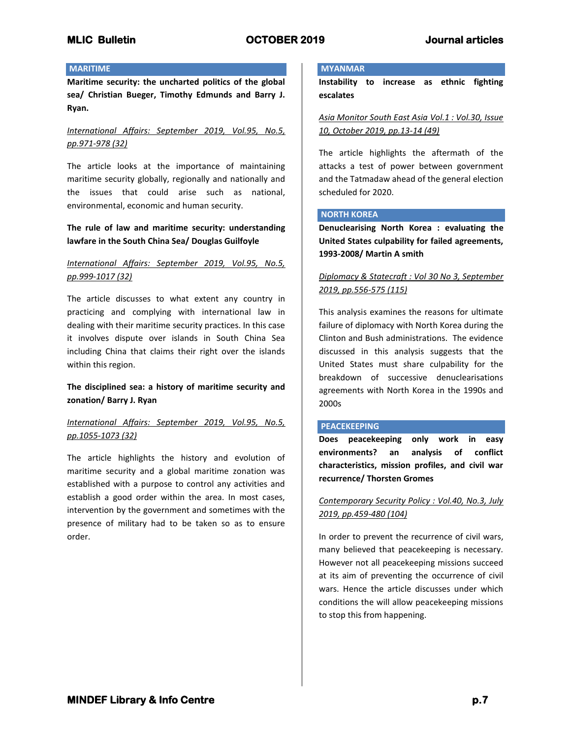## **MARITIME**

**Maritime security: the uncharted politics of the global sea/ Christian Bueger, Timothy Edmunds and Barry J. Ryan.**

## *International Affairs: September 2019, Vol.95, No.5, pp.971-978 (32)*

The article looks at the importance of maintaining maritime security globally, regionally and nationally and the issues that could arise such as national, environmental, economic and human security.

## **The rule of law and maritime security: understanding lawfare in the South China Sea/ Douglas Guilfoyle**

## *International Affairs: September 2019, Vol.95, No.5, pp.999-1017 (32)*

The article discusses to what extent any country in practicing and complying with international law in dealing with their maritime security practices. In this case it involves dispute over islands in South China Sea including China that claims their right over the islands within this region.

## **The disciplined sea: a history of maritime security and zonation/ Barry J. Ryan**

# *International Affairs: September 2019, Vol.95, No.5, pp.1055-1073 (32)*

The article highlights the history and evolution of maritime security and a global maritime zonation was established with a purpose to control any activities and establish a good order within the area. In most cases, intervention by the government and sometimes with the presence of military had to be taken so as to ensure order.

## **MYANMAR**

**Instability to increase as ethnic fighting escalates**

*Asia Monitor South East Asia Vol.1 : Vol.30, Issue 10, October 2019, pp.13-14 (49)*

The article highlights the aftermath of the attacks a test of power between government and the Tatmadaw ahead of the general election scheduled for 2020.

## **NORTH KOREA**

**Denuclearising North Korea : evaluating the United States culpability for failed agreements, 1993-2008/ Martin A smith**

# *Diplomacy & Statecraft : Vol 30 No 3, September 2019, pp.556-575 (115)*

This analysis examines the reasons for ultimate failure of diplomacy with North Korea during the Clinton and Bush administrations. The evidence discussed in this analysis suggests that the United States must share culpability for the breakdown of successive denuclearisations agreements with North Korea in the 1990s and 2000s

### **PEACEKEEPING**

**Does peacekeeping only work in easy environments? an analysis of conflict characteristics, mission profiles, and civil war recurrence/ Thorsten Gromes**

## *Contemporary Security Policy : Vol.40, No.3, July 2019, pp.459-480 (104)*

In order to prevent the recurrence of civil wars, many believed that peacekeeping is necessary. However not all peacekeeping missions succeed at its aim of preventing the occurrence of civil wars. Hence the article discusses under which conditions the will allow peacekeeping missions to stop this from happening.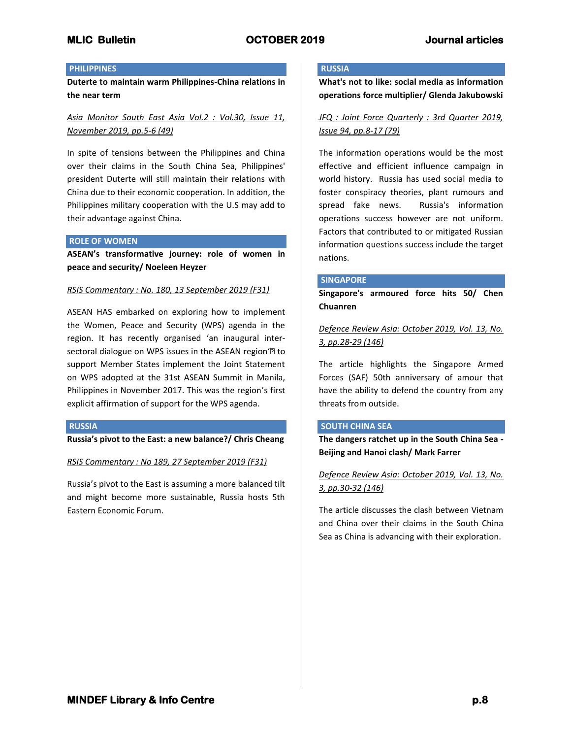## **PHILIPPINES**

**Duterte to maintain warm Philippines-China relations in the near term**

*Asia Monitor South East Asia Vol.2 : Vol.30, Issue 11, November 2019, pp.5-6 (49)*

In spite of tensions between the Philippines and China over their claims in the South China Sea, Philippines' president Duterte will still maintain their relations with China due to their economic cooperation. In addition, the Philippines military cooperation with the U.S may add to their advantage against China.

## **ROLE OF WOMEN**

**ASEAN's transformative journey: role of women in peace and security/ Noeleen Heyzer**

## *RSIS Commentary : No. 180, 13 September 2019 (F31)*

ASEAN HAS embarked on exploring how to implement the Women, Peace and Security (WPS) agenda in the region. It has recently organised 'an inaugural intersectoral dialogue on WPS issues in the ASEAN region'<sup>•</sup> to support Member States implement the Joint Statement on WPS adopted at the 31st ASEAN Summit in Manila, Philippines in November 2017. This was the region's first explicit affirmation of support for the WPS agenda.

### **RUSSIA**

**Russia's pivot to the East: a new balance?/ Chris Cheang**

*RSIS Commentary : No 189, 27 September 2019 (F31)*

Russia's pivot to the East is assuming a more balanced tilt and might become more sustainable, Russia hosts 5th Eastern Economic Forum.

## **RUSSIA**

**What's not to like: social media as information operations force multiplier/ Glenda Jakubowski**

## *JFQ : Joint Force Quarterly : 3rd Quarter 2019, Issue 94, pp.8-17 (79)*

The information operations would be the most effective and efficient influence campaign in world history. Russia has used social media to foster conspiracy theories, plant rumours and spread fake news. Russia's information operations success however are not uniform. Factors that contributed to or mitigated Russian information questions success include the target nations.

### **SINGAPORE**

**Singapore's armoured force hits 50/ Chen Chuanren**

*Defence Review Asia: October 2019, Vol. 13, No. 3, pp.28-29 (146)*

The article highlights the Singapore Armed Forces (SAF) 50th anniversary of amour that have the ability to defend the country from any threats from outside.

### **SOUTH CHINA SEA**

**The dangers ratchet up in the South China Sea - Beijing and Hanoi clash/ Mark Farrer**

*Defence Review Asia: October 2019, Vol. 13, No. 3, pp.30-32 (146)*

The article discusses the clash between Vietnam and China over their claims in the South China Sea as China is advancing with their exploration.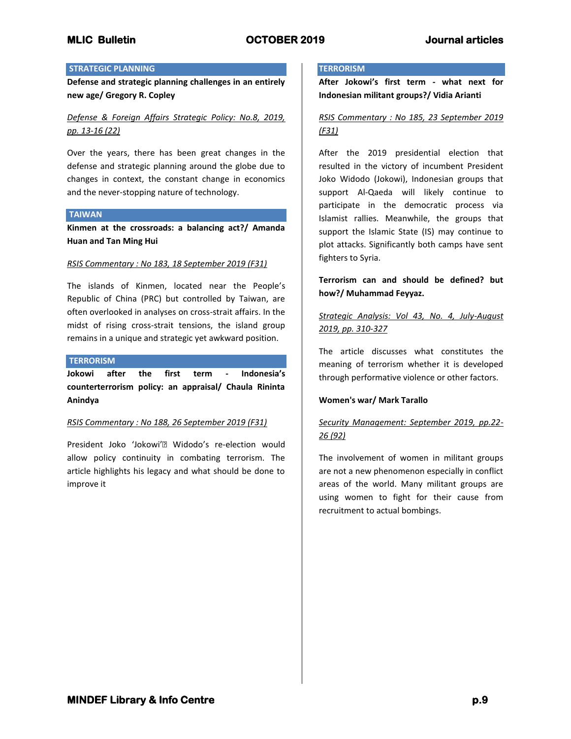## **STRATEGIC PLANNING**

**Defense and strategic planning challenges in an entirely new age/ Gregory R. Copley**

## *Defense & Foreign Affairs Strategic Policy: No.8, 2019, pp. 13-16 (22)*

Over the years, there has been great changes in the defense and strategic planning around the globe due to changes in context, the constant change in economics and the never-stopping nature of technology.

#### **TAIWAN**

**Kinmen at the crossroads: a balancing act?/ Amanda Huan and Tan Ming Hui**

### *RSIS Commentary : No 183, 18 September 2019 (F31)*

The islands of Kinmen, located near the People's Republic of China (PRC) but controlled by Taiwan, are often overlooked in analyses on cross-strait affairs. In the midst of rising cross-strait tensions, the island group remains in a unique and strategic yet awkward position.

#### **TERRORISM**

**Jokowi after the first term - Indonesia's counterterrorism policy: an appraisal/ Chaula Rininta Anindya**

### *RSIS Commentary : No 188, 26 September 2019 (F31)*

President Joko 'Jokowi'• Widodo's re-election would allow policy continuity in combating terrorism. The article highlights his legacy and what should be done to improve it

## **TERRORISM**

**After Jokowi's first term - what next for Indonesian militant groups?/ Vidia Arianti**

## *RSIS Commentary : No 185, 23 September 2019 (F31)*

After the 2019 presidential election that resulted in the victory of incumbent President Joko Widodo (Jokowi), Indonesian groups that support Al-Qaeda will likely continue to participate in the democratic process via Islamist rallies. Meanwhile, the groups that support the Islamic State (IS) may continue to plot attacks. Significantly both camps have sent fighters to Syria.

**Terrorism can and should be defined? but how?/ Muhammad Feyyaz.**

## *Strategic Analysis: Vol 43, No. 4, July-August 2019, pp. 310-327*

The article discusses what constitutes the meaning of terrorism whether it is developed through performative violence or other factors.

### **Women's war/ Mark Tarallo**

# *Security Management: September 2019, pp.22- 26 (92)*

The involvement of women in militant groups are not a new phenomenon especially in conflict areas of the world. Many militant groups are using women to fight for their cause from recruitment to actual bombings.